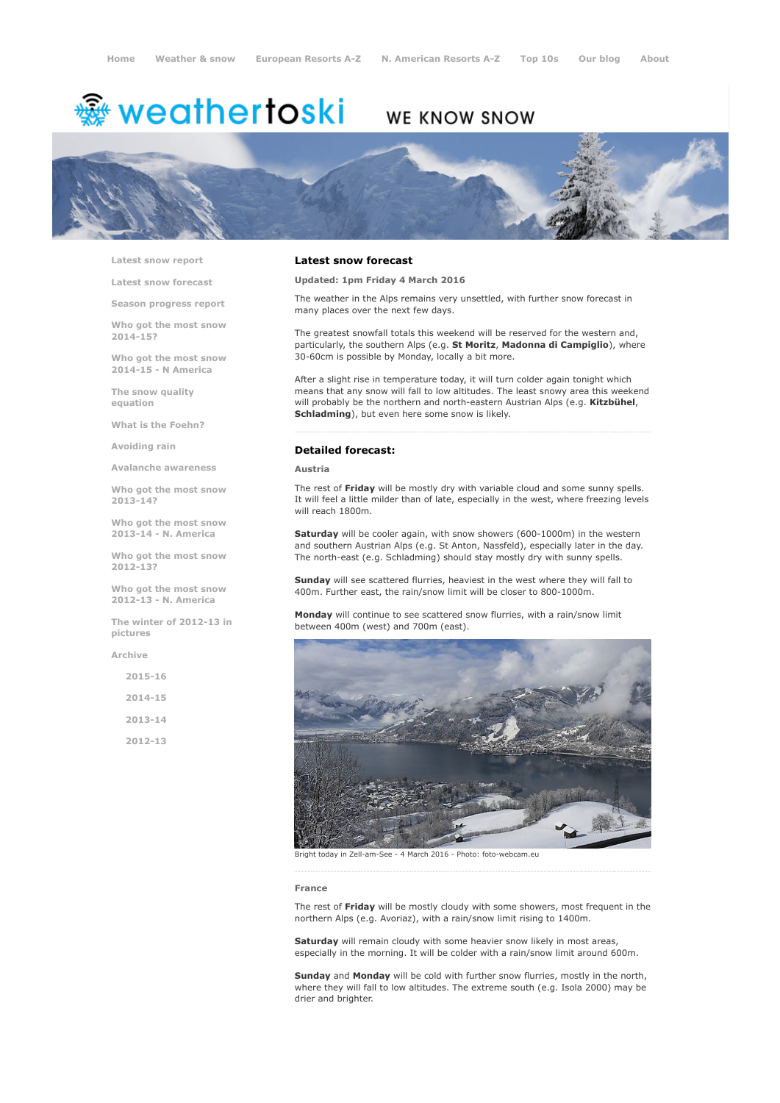# <del>鑾</del> weathertoski

## WE KNOW SNOW



Latest snow [report](http://www.weathertoski.co.uk/weather-snow/latest-snow-report/)

Latest snow [forecast](http://www.weathertoski.co.uk/weather-snow/latest-snow-forecast/)

Season [progress](http://www.weathertoski.co.uk/weather-snow/season-progress-report/) report

Who got the most snow 2014-15?

Who got the most snow 2014-15 - N America

The snow quality [equation](http://www.weathertoski.co.uk/weather-snow/the-snow-quality-equation/)

What is the [Foehn?](http://www.weathertoski.co.uk/weather-snow/what-is-the-foehn/)

[Avoiding](http://www.weathertoski.co.uk/weather-snow/avoiding-rain/) rain

Avalanche [awareness](http://www.weathertoski.co.uk/weather-snow/avalanche-awareness/)

Who got the most snow 2013-14?

Who got the most snow 2013-14 - N. America

Who got the most snow 2012-13?

Who got the most snow 2012-13 - N. America

The winter of 2012-13 in pictures

[Archive](http://www.weathertoski.co.uk/weather-snow/archive/)

2015-16 2014-15 2013-14 2012-13

#### Latest snow forecast

Updated: 1pm Friday 4 March 2016

The weather in the Alps remains very unsettled, with further snow forecast in many places over the next few days.

The greatest snowfall totals this weekend will be reserved for the western and, particularly, the southern Alps (e.g. St Moritz, Madonna di Campiglio), where 30-60cm is possible by Monday, locally a bit more.

After a slight rise in temperature today, it will turn colder again tonight which means that any snow will fall to low altitudes. The least snowy area this weekend will probably be the northern and north-eastern Austrian Alps (e.g. Kitzbühel, Schladming), but even here some snow is likely.

#### Detailed forecast:

#### Austria

The rest of Friday will be mostly dry with variable cloud and some sunny spells. It will feel a little milder than of late, especially in the west, where freezing levels will reach 1800m.

Saturday will be cooler again, with snow showers (600-1000m) in the western and southern Austrian Alps (e.g. St Anton, Nassfeld), especially later in the day. The north-east (e.g. Schladming) should stay mostly dry with sunny spells.

Sunday will see scattered flurries, heaviest in the west where they will fall to 400m. Further east, the rain/snow limit will be closer to 800-1000m.

Monday will continue to see scattered snow flurries, with a rain/snow limit between 400m (west) and 700m (east).



Bright today in Zell-am-See - 4 March 2016 - Photo: foto-webcam.eu

#### France

The rest of Friday will be mostly cloudy with some showers, most frequent in the northern Alps (e.g. Avoriaz), with a rain/snow limit rising to 1400m.

Saturday will remain cloudy with some heavier snow likely in most areas, especially in the morning. It will be colder with a rain/snow limit around 600m.

Sunday and Monday will be cold with further snow flurries, mostly in the north, where they will fall to low altitudes. The extreme south (e.g. Isola 2000) may be drier and brighter.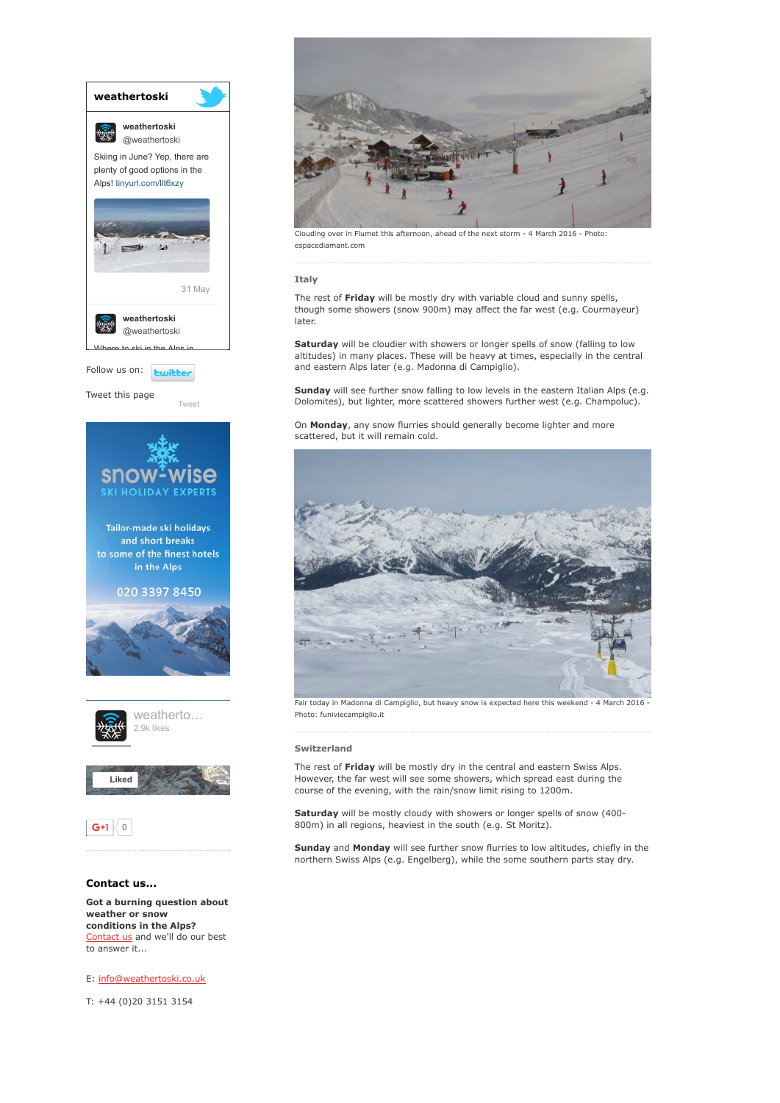

[Contact](http://www.weathertoski.co.uk/about-1/contact-us/) us and we'll do our best to answer it...

E: [info@weathertoski.co.uk](mailto:fraser@weathertoski.co.uk)

T: +44 (0)20 3151 3154



Clouding over in Flumet this afternoon, ahead of the next storm - 4 March 2016 - Photo: espacediamant.com

#### Italy

The rest of Friday will be mostly dry with variable cloud and sunny spells, though some showers (snow 900m) may affect the far west (e.g. Courmayeur) later.

Saturday will be cloudier with showers or longer spells of snow (falling to low altitudes) in many places. These will be heavy at times, especially in the central and eastern Alps later (e.g. Madonna di Campiglio).

Sunday will see further snow falling to low levels in the eastern Italian Alps (e.g. Dolomites), but lighter, more scattered showers further west (e.g. Champoluc).

On Monday, any snow flurries should generally become lighter and more scattered, but it will remain cold.



Fair today in Madonna di Campiglio, but heavy snow is expected here this weekend - 4 March 2016 Photo: funiviecampiglio.it

#### Switzerland

The rest of Friday will be mostly dry in the central and eastern Swiss Alps. However, the far west will see some showers, which spread east during the course of the evening, with the rain/snow limit rising to 1200m.

Saturday will be mostly cloudy with showers or longer spells of snow (400-800m) in all regions, heaviest in the south (e.g. St Moritz).

Sunday and Monday will see further snow flurries to low altitudes, chiefly in the northern Swiss Alps (e.g. Engelberg), while the some southern parts stay dry.